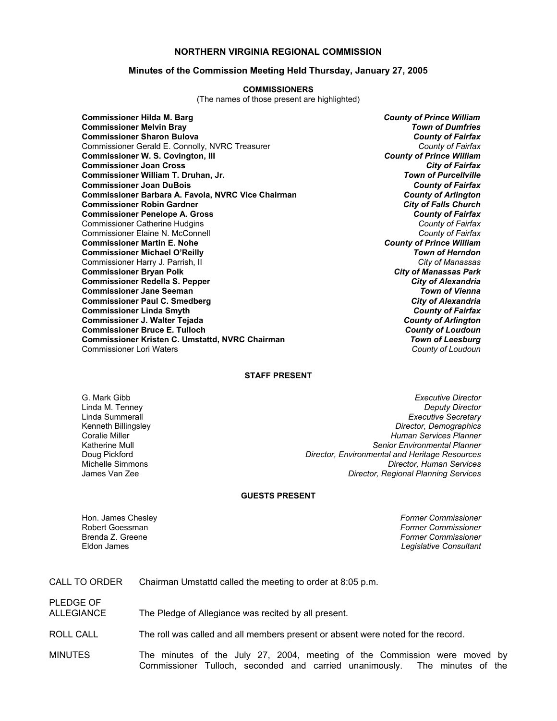### **NORTHERN VIRGINIA REGIONAL COMMISSION**

#### **Minutes of the Commission Meeting Held Thursday, January 27, 2005**

#### **COMMISSIONERS**

(The names of those present are highlighted)

**Commissioner Hilda M. Barg** *County of Prince William* **Commissioner Melvin Bray** *Town of Dumfries* **Commissioner Sharon Bulova** *County of Fairfax* Commissioner Gerald E. Connolly, NVRC Treasurer **Commissioner W. S. Covington, III** *County of Prince William* **Commissioner Joan Cross** *City of Fairfax* **Commissioner William T. Druhan, Jr. Commissioner Joan DuBois** *County of Fairfax* **Commissioner Barbara A. Favola, NVRC Vice Chairman** *County of Arlington* **Commissioner Robin Gardner** *City of Falls Church* **Commissioner Penelope A. Gross** *County of Fairfax* Commissioner Catherine Hudgins *County of Fairfax* Commissioner Elaine N. McConnell *County of Fairfax* **Commissioner Martin E. Nohe** *County of Prince William* **Commissioner Michael O'Reilly** *Town of Herndon* Commissioner Harry J. Parrish, II *City of Manassas* **Commissioner Bryan Polk** *City of Manassas Park* **Commissioner Redella S. Pepper** *City of Alexandria* **Commissioner Jane Seeman** *Town of Vienna* **Commissioner Paul C. Smedberg** *City of Alexandria* **Commissioner Linda Smyth** *County of Fairfax* **Commissioner J. Walter Tejada** *County of Arlington* **Commissioner Bruce E. Tulloch** *County of Loudoun* **Commissioner Kristen C. Umstattd, NVRC Chairman** *Town of Leesburg* Commissioner Lori Waters *County of Loudoun*

#### **STAFF PRESENT**

G. Mark Gibb *Executive Director* Linda M. Tenney *Deputy Director* **Executive Secretary** Kenneth Billingsley *Director, Demographics* Coralie Miller *Human Services Planner* Katherine Mull *Senior Environmental Planner* **Director, Environmental and Heritage Resources** Michelle Simmons *Director, Human Services* James Van Zee *Director, Regional Planning Services*

#### **GUESTS PRESENT**

PLEDGE OF

Hon. James Chesley *Former Commissioner* Robert Goessman *Former Commissioner* Brenda Z. Greene *Former Commissioner* **Legislative Consultant** 

CALL TO ORDER Chairman Umstattd called the meeting to order at 8:05 p.m.

ALLEGIANCE The Pledge of Allegiance was recited by all present.

ROLL CALL The roll was called and all members present or absent were noted for the record.

MINUTES The minutes of the July 27, 2004, meeting of the Commission were moved by Commissioner Tulloch, seconded and carried unanimously. The minutes of the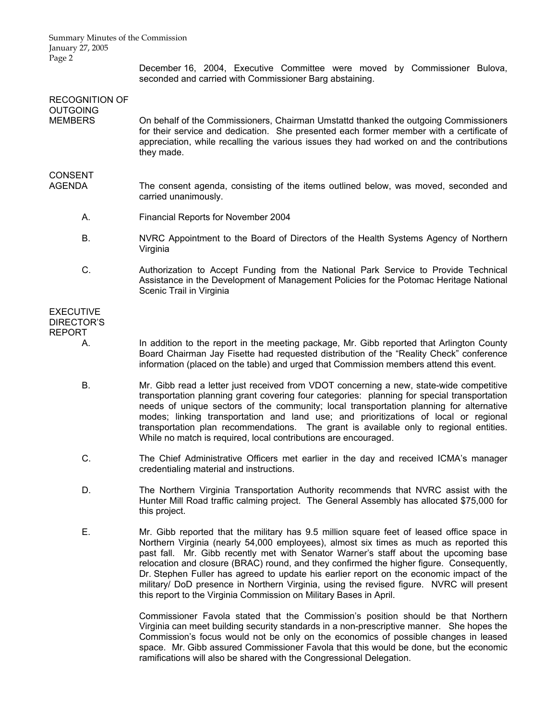Summary Minutes of the Commission January 27, 2005 Page 2

> December 16, 2004, Executive Committee were moved by Commissioner Bulova, seconded and carried with Commissioner Barg abstaining.

| <b>RECOGNITION OF</b><br><b>OUTGOING</b>               |                                                                                                                                                                                                                                                                                                                                                                                                                                                                                                                                        |
|--------------------------------------------------------|----------------------------------------------------------------------------------------------------------------------------------------------------------------------------------------------------------------------------------------------------------------------------------------------------------------------------------------------------------------------------------------------------------------------------------------------------------------------------------------------------------------------------------------|
| <b>MEMBERS</b>                                         | On behalf of the Commissioners, Chairman Umstattd thanked the outgoing Commissioners<br>for their service and dedication. She presented each former member with a certificate of<br>appreciation, while recalling the various issues they had worked on and the contributions<br>they made.                                                                                                                                                                                                                                            |
| <b>CONSENT</b><br><b>AGENDA</b>                        | The consent agenda, consisting of the items outlined below, was moved, seconded and<br>carried unanimously.                                                                                                                                                                                                                                                                                                                                                                                                                            |
| А.                                                     | Financial Reports for November 2004                                                                                                                                                                                                                                                                                                                                                                                                                                                                                                    |
| <b>B.</b>                                              | NVRC Appointment to the Board of Directors of the Health Systems Agency of Northern<br>Virginia                                                                                                                                                                                                                                                                                                                                                                                                                                        |
| C.                                                     | Authorization to Accept Funding from the National Park Service to Provide Technical<br>Assistance in the Development of Management Policies for the Potomac Heritage National<br>Scenic Trail in Virginia                                                                                                                                                                                                                                                                                                                              |
| <b>EXECUTIVE</b><br><b>DIRECTOR'S</b><br><b>REPORT</b> |                                                                                                                                                                                                                                                                                                                                                                                                                                                                                                                                        |
| А.                                                     | In addition to the report in the meeting package, Mr. Gibb reported that Arlington County<br>Board Chairman Jay Fisette had requested distribution of the "Reality Check" conference<br>information (placed on the table) and urged that Commission members attend this event.                                                                                                                                                                                                                                                         |
| Β.                                                     | Mr. Gibb read a letter just received from VDOT concerning a new, state-wide competitive<br>transportation planning grant covering four categories: planning for special transportation<br>needs of unique sectors of the community; local transportation planning for alternative<br>modes; linking transportation and land use; and prioritizations of local or regional<br>transportation plan recommendations. The grant is available only to regional entities.<br>While no match is required, local contributions are encouraged. |
| C.                                                     | The Chief Administrative Officers met earlier in the day and received ICMA's manager<br>credentialing material and instructions.                                                                                                                                                                                                                                                                                                                                                                                                       |
| D.                                                     | The Northern Virginia Transportation Authority recommends that NVRC assist with the<br>Hunter Mill Road traffic calming project. The General Assembly has allocated \$75,000 for<br>this project.                                                                                                                                                                                                                                                                                                                                      |
| F                                                      | Mr. Gibb reported that the military has 9.5 million square feet of leased office space in                                                                                                                                                                                                                                                                                                                                                                                                                                              |

Mr. Gibb reported that the military has 9.5 million square feet of leased office spa Northern Virginia (nearly 54,000 employees), almost six times as much as reported this past fall. Mr. Gibb recently met with Senator Warner's staff about the upcoming base relocation and closure (BRAC) round, and they confirmed the higher figure. Consequently, Dr. Stephen Fuller has agreed to update his earlier report on the economic impact of the military/ DoD presence in Northern Virginia, using the revised figure. NVRC will present this report to the Virginia Commission on Military Bases in April.

> Commissioner Favola stated that the Commission's position should be that Northern Virginia can meet building security standards in a non-prescriptive manner. She hopes the Commission's focus would not be only on the economics of possible changes in leased space. Mr. Gibb assured Commissioner Favola that this would be done, but the economic ramifications will also be shared with the Congressional Delegation.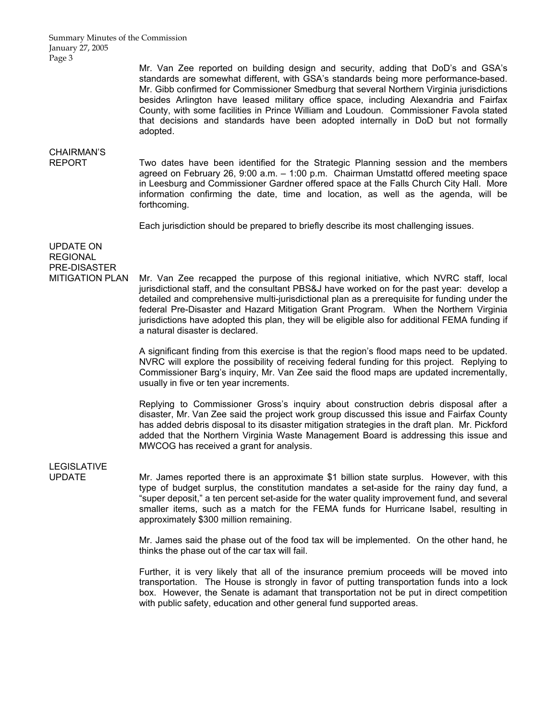Summary Minutes of the Commission January 27, 2005 Page 3

> Mr. Van Zee reported on building design and security, adding that DoD's and GSA's standards are somewhat different, with GSA's standards being more performance-based. Mr. Gibb confirmed for Commissioner Smedburg that several Northern Virginia jurisdictions besides Arlington have leased military office space, including Alexandria and Fairfax County, with some facilities in Prince William and Loudoun. Commissioner Favola stated that decisions and standards have been adopted internally in DoD but not formally adopted.

## CHAIRMAN'S

REPORT Two dates have been identified for the Strategic Planning session and the members agreed on February 26, 9:00 a.m. – 1:00 p.m. Chairman Umstattd offered meeting space in Leesburg and Commissioner Gardner offered space at the Falls Church City Hall. More information confirming the date, time and location, as well as the agenda, will be forthcoming.

Each jurisdiction should be prepared to briefly describe its most challenging issues.

UPDATE ON REGIONAL PRE-DISASTER

MITIGATION PLAN Mr. Van Zee recapped the purpose of this regional initiative, which NVRC staff, local jurisdictional staff, and the consultant PBS&J have worked on for the past year: develop a detailed and comprehensive multi-jurisdictional plan as a prerequisite for funding under the federal Pre-Disaster and Hazard Mitigation Grant Program. When the Northern Virginia jurisdictions have adopted this plan, they will be eligible also for additional FEMA funding if a natural disaster is declared.

> A significant finding from this exercise is that the region's flood maps need to be updated. NVRC will explore the possibility of receiving federal funding for this project. Replying to Commissioner Barg's inquiry, Mr. Van Zee said the flood maps are updated incrementally, usually in five or ten year increments.

> Replying to Commissioner Gross's inquiry about construction debris disposal after a disaster, Mr. Van Zee said the project work group discussed this issue and Fairfax County has added debris disposal to its disaster mitigation strategies in the draft plan. Mr. Pickford added that the Northern Virginia Waste Management Board is addressing this issue and MWCOG has received a grant for analysis.

# LEGISLATIVE

UPDATE Mr. James reported there is an approximate \$1 billion state surplus. However, with this type of budget surplus, the constitution mandates a set-aside for the rainy day fund, a "super deposit," a ten percent set-aside for the water quality improvement fund, and several smaller items, such as a match for the FEMA funds for Hurricane Isabel, resulting in approximately \$300 million remaining.

> Mr. James said the phase out of the food tax will be implemented. On the other hand, he thinks the phase out of the car tax will fail.

> Further, it is very likely that all of the insurance premium proceeds will be moved into transportation. The House is strongly in favor of putting transportation funds into a lock box. However, the Senate is adamant that transportation not be put in direct competition with public safety, education and other general fund supported areas.